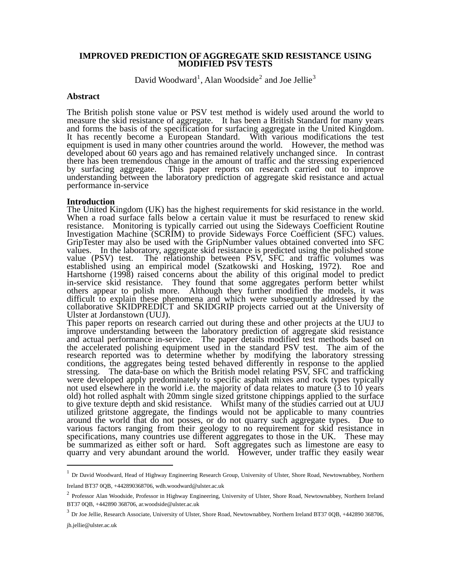#### **IMPROVED PREDICTION OF AGGREGATE SKID RESISTANCE USING MODIFIED PSV TESTS**

David Woodward<sup>[1](#page-0-0)</sup>, Alan Woodside<sup>[2](#page-0-1)</sup> and Joe Jellie<sup>[3](#page-0-2)</sup>

## **Abstract**

The British polish stone value or PSV test method is widely used around the world to measure the skid resistance of aggregate. It has been a British Standard for many years and forms the basis of the specification for surfacing aggregate in the United Kingdom. It has recently become a European Standard. With various modifications the test equipment is used in many other countries around the world. However, the method was developed about 60 years ago and has remained relatively unchanged since. In contrast there has been tremendous change in the amount of traffic and the stressing experienced by surfacing aggregate. This paper reports on research carried out to improve understanding between the laboratory prediction of aggregate skid resistance and actual performance in-service

#### **Introduction**

The United Kingdom (UK) has the highest requirements for skid resistance in the world. When a road surface falls below a certain value it must be resurfaced to renew skid resistance. Monitoring is typically carried out using the Sideways Coefficient Routine Investigation Machine (SCRIM) to provide Sideways Force Coefficient (SFC) values. GripTester may also be used with the GripNumber values obtained converted into SFC values. In the laboratory, aggregate skid resistance is predicted using the polished stone<br>value (PSV) test. The relationship between PSV, SFC and traffic volumes was The relationship between PSV, SFC and traffic volumes was established using an empirical model (Szatkowski and Hosking, 1972). Roe and Hartshorne (1998) raised concerns about the ability of this original model to predict in-service skid resistance. They found that some aggregates perform better whilst others appear to polish more. Although they further modified the models, it was difficult to explain these phenomena and which were subsequently addressed by the collaborative SKIDPREDICT and SKIDGRIP projects carried out at the University of Ulster at Jordanstown (UUJ).

This paper reports on research carried out during these and other projects at the UUJ to improve understanding between the laboratory prediction of aggregate skid resistance and actual performance in-service. The paper details modified test methods based on the accelerated polishing equipment used in the standard PSV test. The aim of the research reported was to determine whether by modifying the laboratory stressing conditions, the aggregates being tested behaved differently in response to the applied stressing. The data-base on which the British model relating PSV, SFC and trafficking were developed apply predominately to specific asphalt mixes and rock types typically not used elsewhere in the world i.e. the majority of data relates to mature (3 to 10 years old) hot rolled asphalt with 20mm single sized gritstone chippings applied to the surface to give texture depth and skid resistance. Whilst many of the studies carried out at UUJ utilized gritstone aggregate, the findings would not be applicable to many countries around the world that do not posses, or do not quarry such aggregate types. Due to various factors ranging from their geology to no requirement for skid resistance in specifications, many countries use different aggregates to those in the UK. These may be summarized as either soft or hard. Soft aggregates such as limestone are easy to quarry and very abundant around the world. However, under traffic they easily wear

 $\overline{a}$ 

<span id="page-0-0"></span><sup>&</sup>lt;sup>1</sup> Dr David Woodward, Head of Highway Engineering Research Group, University of Ulster, Shore Road, Newtownabbey, Northern

Ireland BT37 0QB, +442890368706, wdh.woodward@ulster.ac.uk

<span id="page-0-1"></span><sup>&</sup>lt;sup>2</sup> Professor Alan Woodside, Professor in Highway Engineering, University of Ulster, Shore Road, Newtownabbey, Northern Ireland BT37 0QB, +442890 368706, ar.woodside@ulster.ac.uk

<span id="page-0-2"></span><sup>&</sup>lt;sup>3</sup> Dr Joe Jellie, Research Associate, University of Ulster, Shore Road, Newtownabbey, Northern Ireland BT37 0QB, +442890 368706,

jh.jellie@ulster.ac.uk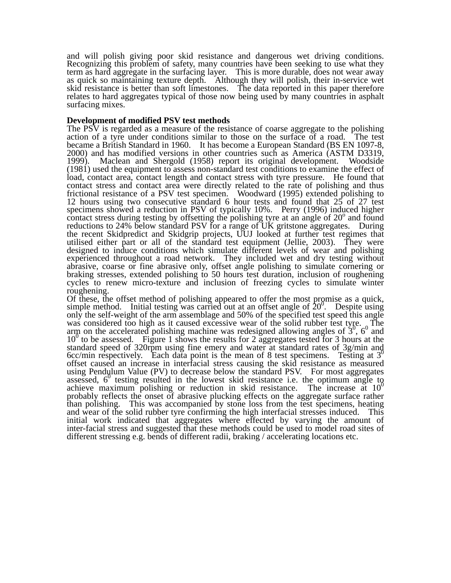and will polish giving poor skid resistance and dangerous wet driving conditions. Recognizing this problem of safety, many countries have been seeking to use what they term as hard aggregate in the surfacing layer. This is more durable, does not wear away as quick so maintaining texture depth. Although they will polish, their in-service wet skid resistance is better than soft limestones. The data reported in this paper therefore relates to hard aggregates typical of those now being used by many countries in asphalt surfacing mixes.

## **Development of modified PSV test methods**

The PSV is regarded as a measure of the resistance of coarse aggregate to the polishing action of a tyre under conditions similar to those on the surface of a road. The test became a British Standard in 1960. It has become a European Standard (BS EN 1097-8, 2000) and has modified versions in other countries such as America (ASTM D3319, 1999). Maclean and Shergold (1958) report its original development. Woodside Maclean and Shergold (1958) report its original development. Woodside (1981) used the equipment to assess non-standard test conditions to examine the effect of load, contact area, contact length and contact stress with tyre pressure. He found that contact stress and contact area were directly related to the rate of polishing and thus frictional resistance of a PSV test specimen. Woodward (1995) extended polishing to 12 hours using two consecutive standard 6 hour tests and found that 25 of 27 test specimens showed a reduction in PSV of typically 10%. Perry (1996) induced higher contact stress during testing by offsetting the polishing tyre at an angle of  $20^{\circ}$  and found reductions to 24% below standard PSV for a range of UK gritstone aggregates. During the recent Skidpredict and Skidgrip projects, UUJ looked at further test regimes that utilised either part or all of the standard test equipment (Jellie, 2003). They were designed to induce conditions which simulate different levels of wear and polishing experienced throughout a road network. They included wet and dry testing without abrasive, coarse or fine abrasive only, offset angle polishing to simulate cornering or braking stresses, extended polishing to 50 hours test duration, inclusion of roughening cycles to renew micro-texture and inclusion of freezing cycles to simulate winter roughening.

Of these, the offset method of polishing appeared to offer the most promise as a quick, simple method. Initial testing was carried out at an offset angle of  $20^\circ$ . Despite using only the self-weight of the arm assemblage and 50% of the specified test speed this angle was considered too high as it caused excessive wear of the solid rubber test tyre. The arm on the accelerated polishing machine was redesigned allowing angles of  $3^0$ ,  $6^0$  and  $10<sup>0</sup>$  to be assessed. Figure 1 shows the results for 2 aggregates tested for 3 hours at the standard speed of 320rpm using fine emery and water at standard rates of 3g/min and 6cc/min respectively. Each data point is the mean of 8 test specimens. Testing at  $3^0$ offset caused an increase in interfacial stress causing the skid resistance as measured using Pendulum Value (PV) to decrease below the standard PSV. For most aggregates  $\frac{1}{2}$  assessed,  $6^0$  testing resulted in the lowest skid resistance i.e. the optimum angle to achieve maximum polishing or reduction in skid resistance. The increase at  $10^0$ probably reflects the onset of abrasive plucking effects on the aggregate surface rather than polishing. This was accompanied by stone loss from the test specimens, heating and wear of the solid rubber tyre confirming the high interfacial stresses induced. This initial work indicated that aggregates where effected by varying the amount of inter-facial stress and suggested that these methods could be used to model road sites of different stressing e.g. bends of different radii, braking / accelerating locations etc.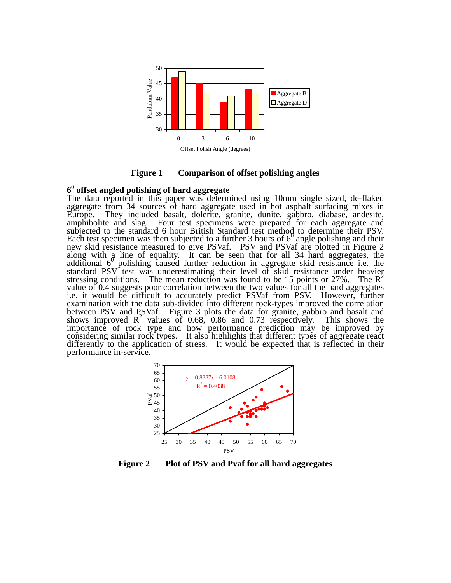

**Figure 1 Comparison of offset polishing angles**

# **60 offset angled polishing of hard aggregate**

The data reported in this paper was determined using 10mm single sized, de-flaked aggregate from 34 sources of hard aggregate used in hot asphalt surfacing mixes in Europe. They included basalt, dolerite, granite, dunite, gabbro, diabase, andesite, amphibolite and slag. Four test specimens were prepared for each aggregate and subjected to the standard 6 hour British Standard test method to determine their PSV. Each test specimen was then subjected to a further 3 hours of  $6^0$  angle polishing and their new skid resistance measured to give PSVaf. PSV and PSVaf are plotted in Figure 2 along with a line of equality. It can be seen that for all 34 hard aggregates, the  $\frac{1}{2}$  and  $\frac{1}{2}$  and  $\frac{1}{2}$  in the state of equality. It can be seen that for an  $\frac{1}{2}$ . The a aggregate, the standard PSV test was underestimating their level of skid resistance under heavier stressing conditions. The mean reduction was found to be 15 points or 27%. The R<sup>2</sup> value of 0.4 suggests poor correlation between the two values for all the hard aggregates i.e. it would be difficult to accurately predict PSVaf from PSV. However, further examination with the data sub-divided into different rock-types improved the correlation between PSV and PSVaf. Figure 3 plots the data for granite, gabbro and basalt and shows improved  $R^2$  values of 0.68, 0.86 and 0.73 respectively. This shows the importance of rock type and how performance prediction may be improved by considering similar rock types. It also highlights that different types of aggregate react differently to the application of stress. It would be expected that is reflected in their performance in-service.



**Figure 2 Plot of PSV and Pvaf for all hard aggregates**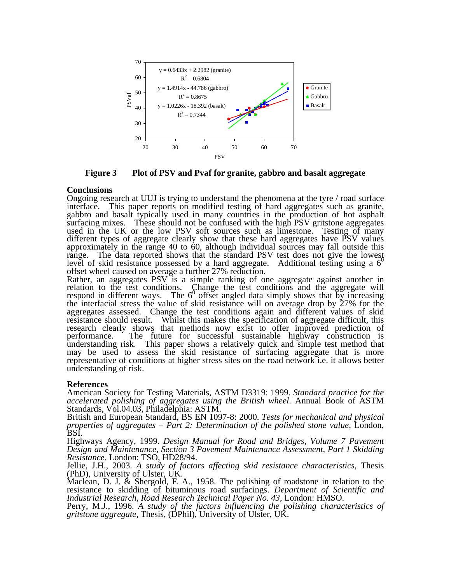

**Figure 3 Plot of PSV and Pvaf for granite, gabbro and basalt aggregate** 

## **Conclusions**

Ongoing research at UUJ is trying to understand the phenomena at the tyre / road surface interface. This paper reports on modified testing of hard aggregates such as granite, gabbro and basalt typically used in many countries in the production of hot asphalt surfacing mixes. These should not be confused with the high PSV gritstone aggregates used in the UK or the low PSV soft sources such as limestone. Testing of many different types of aggregate clearly show that these hard aggregates have PSV values approximately in the range 40 to 60, although individual sources may fall outside this range. The data reported shows that the standard PSV test does not give the lowest level of skid resistance possessed by a hard aggregate. Additional testing using a  $6<sup>0</sup>$ offset wheel caused on average a further 27% reduction.

Rather, an aggregates PSV is a simple ranking of one aggregate against another in relation to the test conditions. Change the test conditions and the aggregate will respond in different ways. The  $6<sup>o</sup>$  offset angled data simply shows that by increasing the interfacial stress the value of skid resistance will on average drop by 27% for the aggregates assessed. Change the test conditions again and different values of skid resistance should result. Whilst this makes the specification of aggregate difficult, this research clearly shows that methods now exist to offer improved prediction of performance. The future for successful sustainable highway construction is understanding risk. This paper shows a relatively quick and simple test method that may be used to assess the skid resistance of surfacing aggregate that is more representative of conditions at higher stress sites on the road network i.e. it allows better understanding of risk.

# **References**

American Society for Testing Materials, ASTM D3319: 1999. *Standard practice for the accelerated polishing of aggregates using the British wheel*. Annual Book of ASTM Standards, Vol.04.03, Philadelphia: ASTM.

British and European Standard, BS EN 1097-8: 2000. *Tests for mechanical and physical properties of aggregates – Part 2: Determination of the polished stone value*, London, BSI.

Highways Agency, 1999. *Design Manual for Road and Bridges, Volume 7 Pavement Design and Maintenance, Section 3 Pavement Maintenance Assessment, Part 1 Skidding Resistance*. London: TSO, HD28/94.

Jellie, J.H., 2003. *A study of factors affecting skid resistance characteristics*, Thesis (PhD), University of Ulster, UK.

Maclean, D. J. & Shergold, F. A., 1958. The polishing of roadstone in relation to the resistance to skidding of bituminous road surfacings. *Department of Scientific and Industrial Research, Road Research Technical Paper No. 43*, London: HMSO.

Perry, M.J., 1996. *A study of the factors influencing the polishing characteristics of gritstone aggregate*, Thesis, (DPhil), University of Ulster, UK.